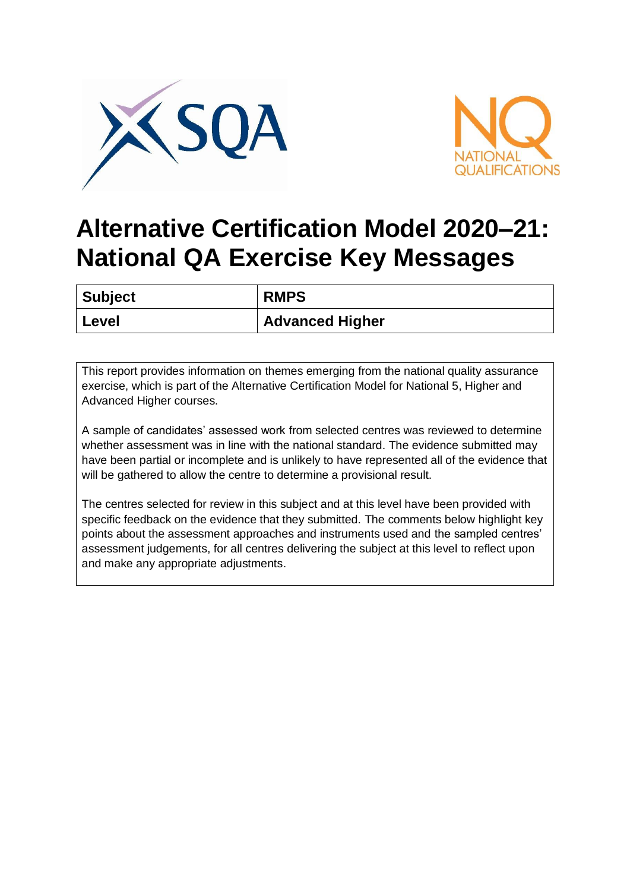



## **Alternative Certification Model 2020–21: National QA Exercise Key Messages**

| <b>Subject</b> | <b>RMPS</b>            |
|----------------|------------------------|
| Level          | <b>Advanced Higher</b> |

This report provides information on themes emerging from the national quality assurance exercise, which is part of the Alternative Certification Model for National 5, Higher and Advanced Higher courses.

A sample of candidates' assessed work from selected centres was reviewed to determine whether assessment was in line with the national standard. The evidence submitted may have been partial or incomplete and is unlikely to have represented all of the evidence that will be gathered to allow the centre to determine a provisional result.

The centres selected for review in this subject and at this level have been provided with specific feedback on the evidence that they submitted. The comments below highlight key points about the assessment approaches and instruments used and the sampled centres' assessment judgements, for all centres delivering the subject at this level to reflect upon and make any appropriate adjustments.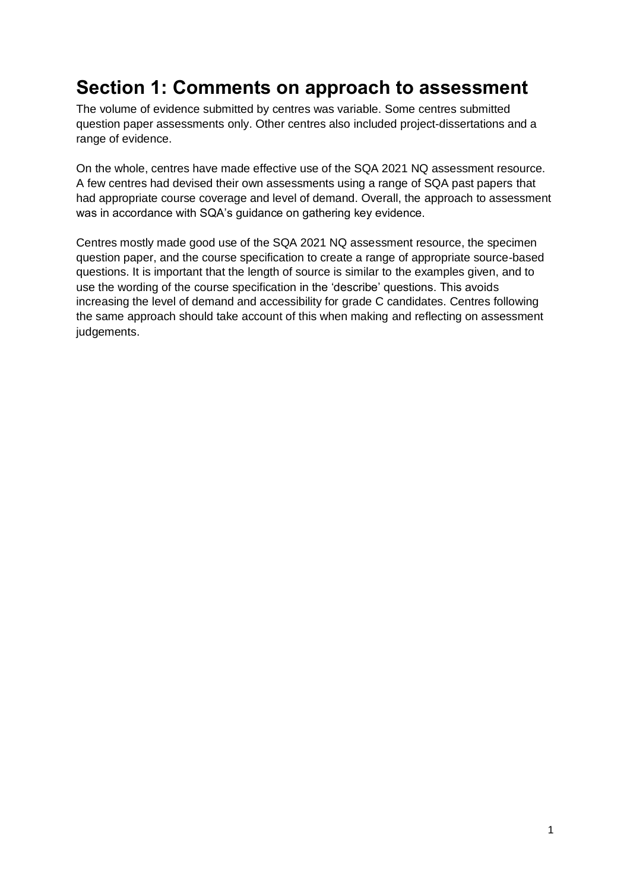## **Section 1: Comments on approach to assessment**

The volume of evidence submitted by centres was variable. Some centres submitted question paper assessments only. Other centres also included project-dissertations and a range of evidence.

On the whole, centres have made effective use of the SQA 2021 NQ assessment resource. A few centres had devised their own assessments using a range of SQA past papers that had appropriate course coverage and level of demand. Overall, the approach to assessment was in accordance with SQA's guidance on gathering key evidence.

Centres mostly made good use of the SQA 2021 NQ assessment resource, the specimen question paper, and the course specification to create a range of appropriate source-based questions. It is important that the length of source is similar to the examples given, and to use the wording of the course specification in the 'describe' questions. This avoids increasing the level of demand and accessibility for grade C candidates. Centres following the same approach should take account of this when making and reflecting on assessment judgements.